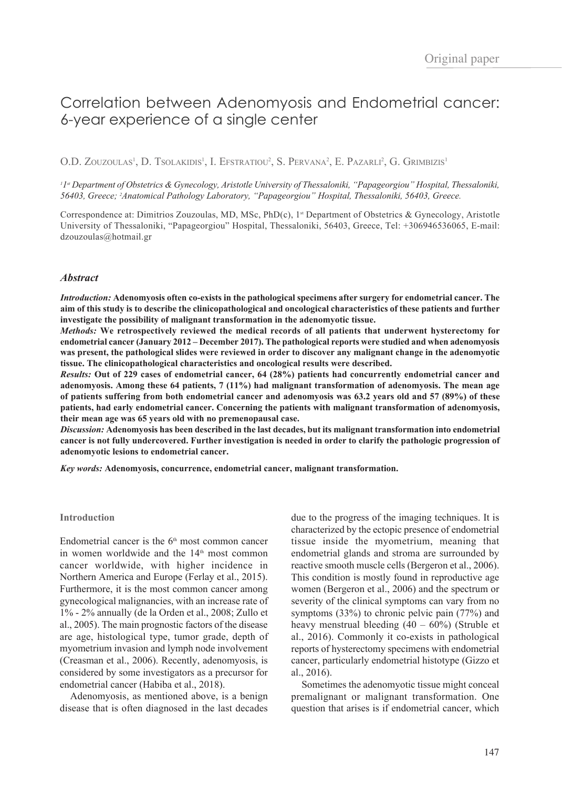# Correlation between Adenomyosis and Endometrial cancer: 6-year experience of a single center

O.D. Zouzoulas<sup>1</sup>, D. Tsolakidis<sup>1</sup>, I. Efstratiou<sup>2</sup>, S. Pervana<sup>2</sup>, E. Pazarli<sup>2</sup>, G. Grimbizis<sup>1</sup>

<sup>1</sup>I<sub>"</sub> Department of Obstetrics & Gynecology, Aristotle University of Thessaloniki, "Papageorgiou" Hospital, Thessaloniki, *56403, Greece; 2 Anatomical Pathology Laboratory, "Papageorgiou" Hospital, Thessaloniki, 56403, Greece.*

Correspondence at: Dimitrios Zouzoulas, MD, MSc,  $PhD(c)$ , 1<sup>st</sup> Department of Obstetrics & Gynecology, Aristotle University of Thessaloniki, "Papageorgiou" Hospital, Thessaloniki, 56403, Greece, Tel: +306946536065, E-mail: dzouzoulas@hotmail.gr

### *Abstract*

*Introduction:* **Adenomyosis often co-exists in the pathological specimens after surgery for endometrial cancer. The aim of this study is to describe the clinicopathological and oncological characteristics of these patients and further investigate the possibility of malignant transformation in the adenomyotic tissue.**

*Methods:* **We retrospectively reviewed the medical records of all patients that underwent hysterectomy for endometrial cancer (January 2012 – December 2017). The pathological reports were studied and when adenomyosis was present, the pathological slides were reviewed in order to discover any malignant change in the adenomyotic tissue. The clinicopathological characteristics and oncological results were described.**

*Results:* **Out of 229 cases of endometrial cancer, 64 (28%) patients had concurrently endometrial cancer and adenomyosis. Among these 64 patients, 7 (11%) had malignant transformation of adenomyosis. The mean age of patients suffering from both endometrial cancer and adenomyosis was 63.2 years old and 57 (89%) of these patients, had early endometrial cancer. Concerning the patients with malignant transformation of adenomyosis, their mean age was 65 years old with no premenopausal case.**

*Discussion:* **Adenomyosis has been described in the last decades, but its malignant transformation into endometrial cancer is not fully undercovered. Further investigation is needed in order to clarify the pathologic progression of adenomyotic lesions to endometrial cancer.**

*Key words:* **Adenomyosis, concurrence, endometrial cancer, malignant transformation.** 

#### **Introduction**

Endometrial cancer is the  $6<sup>th</sup>$  most common cancer in women worldwide and the  $14<sup>th</sup>$  most common cancer worldwide, with higher incidence in Northern America and Europe (Ferlay et al., 2015). Furthermore, it is the most common cancer among gynecological malignancies, with an increase rate of 1% - 2% annually (de la Orden et al., 2008; Zullo et al., 2005). The main prognostic factors of the disease are age, histological type, tumor grade, depth of myometrium invasion and lymph node involvement (Creasman et al., 2006). Recently, adenomyosis, is considered by some investigators as a precursor for endometrial cancer (Habiba et al., 2018).

Adenomyosis, as mentioned above, is a benign disease that is often diagnosed in the last decades

due to the progress of the imaging techniques. It is characterized by the ectopic presence of endometrial tissue inside the myometrium, meaning that endometrial glands and stroma are surrounded by reactive smooth muscle cells (Bergeron et al., 2006). This condition is mostly found in reproductive age women (Bergeron et al., 2006) and the spectrum or severity of the clinical symptoms can vary from no symptoms (33%) to chronic pelvic pain (77%) and heavy menstrual bleeding (40 – 60%) (Struble et al., 2016). Commonly it co-exists in pathological reports of hysterectomy specimens with endometrial cancer, particularly endometrial histotype (Gizzo et al., 2016).

Sometimes the adenomyotic tissue might conceal premalignant or malignant transformation. One question that arises is if endometrial cancer, which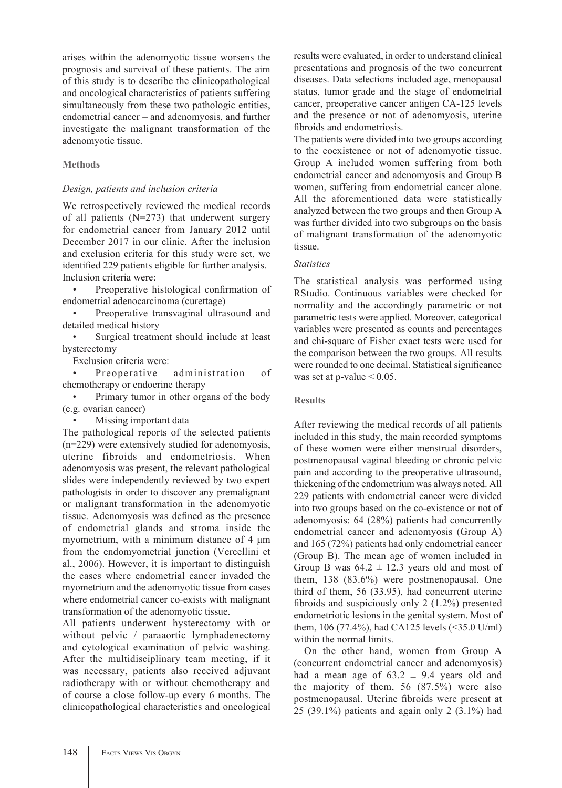arises within the adenomyotic tissue worsens the prognosis and survival of these patients. The aim of this study is to describe the clinicopathological and oncological characteristics of patients suffering simultaneously from these two pathologic entities, endometrial cancer – and adenomyosis, and further investigate the malignant transformation of the adenomyotic tissue.

# **Methods**

## *Design, patients and inclusion criteria*

We retrospectively reviewed the medical records of all patients (N=273) that underwent surgery for endometrial cancer from January 2012 until December 2017 in our clinic. After the inclusion and exclusion criteria for this study were set, we identified 229 patients eligible for further analysis. Inclusion criteria were:

Preoperative histological confirmation of endometrial adenocarcinoma (curettage)

Preoperative transvaginal ultrasound and detailed medical history

Surgical treatment should include at least hysterectomy

Exclusion criteria were:

Preoperative administration of chemotherapy or endocrine therapy

• Primary tumor in other organs of the body (e.g. ovarian cancer)

Missing important data

The pathological reports of the selected patients (n=229) were extensively studied for adenomyosis, uterine fibroids and endometriosis. When adenomyosis was present, the relevant pathological slides were independently reviewed by two expert pathologists in order to discover any premalignant or malignant transformation in the adenomyotic tissue. Adenomyosis was defined as the presence of endometrial glands and stroma inside the myometrium, with a minimum distance of 4 μm from the endomyometrial junction (Vercellini et al., 2006). However, it is important to distinguish the cases where endometrial cancer invaded the myometrium and the adenomyotic tissue from cases where endometrial cancer co-exists with malignant transformation of the adenomyotic tissue.

All patients underwent hysterectomy with or without pelvic / paraaortic lymphadenectomy and cytological examination of pelvic washing. After the multidisciplinary team meeting, if it was necessary, patients also received adjuvant radiotherapy with or without chemotherapy and of course a close follow-up every 6 months. The clinicopathological characteristics and oncological results were evaluated, in order to understand clinical presentations and prognosis of the two concurrent diseases. Data selections included age, menopausal status, tumor grade and the stage of endometrial cancer, preoperative cancer antigen CA-125 levels and the presence or not of adenomyosis, uterine fibroids and endometriosis.

The patients were divided into two groups according to the coexistence or not of adenomyotic tissue. Group A included women suffering from both endometrial cancer and adenomyosis and Group B women, suffering from endometrial cancer alone. All the aforementioned data were statistically analyzed between the two groups and then Group A was further divided into two subgroups on the basis of malignant transformation of the adenomyotic tissue.

# *Statistics*

The statistical analysis was performed using RStudio. Continuous variables were checked for normality and the accordingly parametric or not parametric tests were applied. Moreover, categorical variables were presented as counts and percentages and chi-square of Fisher exact tests were used for the comparison between the two groups. All results were rounded to one decimal. Statistical significance was set at p-value  $\leq 0.05$ .

## **Results**

After reviewing the medical records of all patients included in this study, the main recorded symptoms of these women were either menstrual disorders, postmenopausal vaginal bleeding or chronic pelvic pain and according to the preoperative ultrasound, thickening of the endometrium was always noted. All 229 patients with endometrial cancer were divided into two groups based on the co-existence or not of adenomyosis: 64 (28%) patients had concurrently endometrial cancer and adenomyosis (Group A) and 165 (72%) patients had only endometrial cancer (Group B). The mean age of women included in Group B was  $64.2 \pm 12.3$  years old and most of them, 138 (83.6%) were postmenopausal. One third of them, 56 (33.95), had concurrent uterine fibroids and suspiciously only 2 (1.2%) presented endometriotic lesions in the genital system. Most of them, 106 (77.4%), had CA125 levels (<35.0 U/ml) within the normal limits.

On the other hand, women from Group A (concurrent endometrial cancer and adenomyosis) had a mean age of  $63.2 \pm 9.4$  years old and the majority of them, 56 (87.5%) were also postmenopausal. Uterine fibroids were present at 25 (39.1%) patients and again only 2 (3.1%) had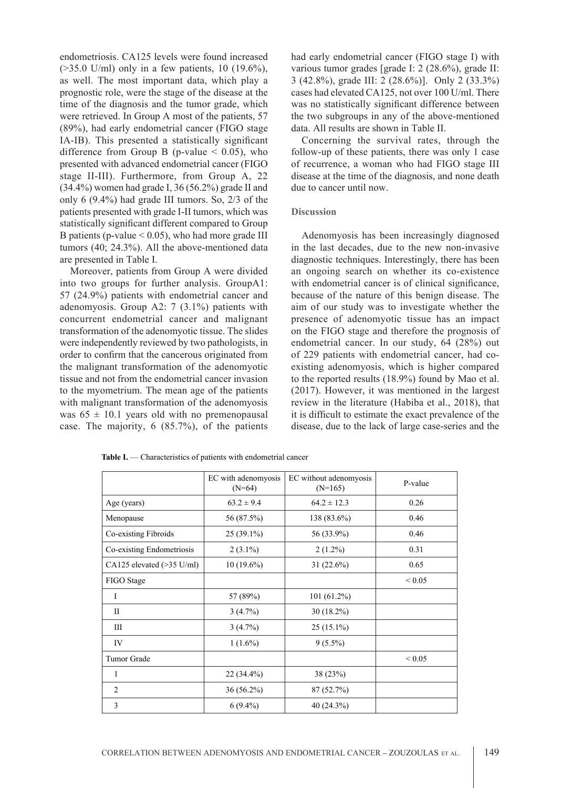endometriosis. CA125 levels were found increased  $($ >35.0 U/ml) only in a few patients, 10 (19.6%), as well. The most important data, which play a prognostic role, were the stage of the disease at the time of the diagnosis and the tumor grade, which were retrieved. In Group A most of the patients, 57 (89%), had early endometrial cancer (FIGO stage IA-IB). This presented a statistically significant difference from Group B (p-value  $\leq$  0.05), who presented with advanced endometrial cancer (FIGO stage II-III). Furthermore, from Group A, 22 (34.4%) women had grade I, 36 (56.2%) grade II and only 6 (9.4%) had grade III tumors. So, 2/3 of the patients presented with grade I-II tumors, which was statistically significant different compared to Group B patients (p-value  $\leq$  0.05), who had more grade III tumors (40; 24.3%). All the above-mentioned data are presented in Table I.

Moreover, patients from Group A were divided into two groups for further analysis. GroupA1: 57 (24.9%) patients with endometrial cancer and adenomyosis. Group A2: 7 (3.1%) patients with concurrent endometrial cancer and malignant transformation of the adenomyotic tissue. The slides were independently reviewed by two pathologists, in order to confirm that the cancerous originated from the malignant transformation of the adenomyotic tissue and not from the endometrial cancer invasion to the myometrium. The mean age of the patients with malignant transformation of the adenomyosis was  $65 \pm 10.1$  years old with no premenopausal case. The majority, 6 (85.7%), of the patients had early endometrial cancer (FIGO stage I) with various tumor grades [grade I: 2 (28.6%), grade II: 3 (42.8%), grade III: 2 (28.6%)]. Only 2 (33.3%) cases had elevated CA125, not over 100 U/ml. There was no statistically significant difference between the two subgroups in any of the above-mentioned data. All results are shown in Table II.

Concerning the survival rates, through the follow-up of these patients, there was only 1 case of recurrence, a woman who had FIGO stage III disease at the time of the diagnosis, and none death due to cancer until now.

#### **Discussion**

Adenomyosis has been increasingly diagnosed in the last decades, due to the new non-invasive diagnostic techniques. Interestingly, there has been an ongoing search on whether its co-existence with endometrial cancer is of clinical significance, because of the nature of this benign disease. The aim of our study was to investigate whether the presence of adenomyotic tissue has an impact on the FIGO stage and therefore the prognosis of endometrial cancer. In our study, 64 (28%) out of 229 patients with endometrial cancer, had coexisting adenomyosis, which is higher compared to the reported results (18.9%) found by Mao et al. (2017). However, it was mentioned in the largest review in the literature (Habiba et al., 2018), that it is difficult to estimate the exact prevalence of the disease, due to the lack of large case-series and the

|                                     | EC with adenomyosis<br>$(N=64)$ | EC without adenomyosis<br>$(N=165)$ | P-value     |
|-------------------------------------|---------------------------------|-------------------------------------|-------------|
| Age (years)                         | $63.2 \pm 9.4$                  | $64.2 \pm 12.3$                     | 0.26        |
| Menopause                           | 56 (87.5%)                      | 138 (83.6%)                         | 0.46        |
| Co-existing Fibroids                | $25(39.1\%)$                    | 56 (33.9%)                          | 0.46        |
| Co-existing Endometriosis           | $2(3.1\%)$                      | $2(1.2\%)$                          | 0.31        |
| CA125 elevated $(>35 \text{ U/ml})$ | $10(19.6\%)$                    | $31(22.6\%)$                        | 0.65        |
| FIGO Stage                          |                                 |                                     | ${}_{0.05}$ |
| $\mathbf I$                         | 57 (89%)                        | $101(61.2\%)$                       |             |
| $\mathbf{I}$                        | $3(4.7\%)$                      | $30(18.2\%)$                        |             |
| Ш                                   | 3(4.7%)                         | $25(15.1\%)$                        |             |
| IV                                  | $1(1.6\%)$                      | $9(5.5\%)$                          |             |
| Tumor Grade                         |                                 |                                     | ${}< 0.05$  |
| 1                                   | $22(34.4\%)$                    | 38 (23%)                            |             |
| 2                                   | 36 (56.2%)                      | 87 (52.7%)                          |             |
| 3                                   | $6(9.4\%)$                      | 40 (24.3%)                          |             |

Table I. — Characteristics of patients with endometrial cancer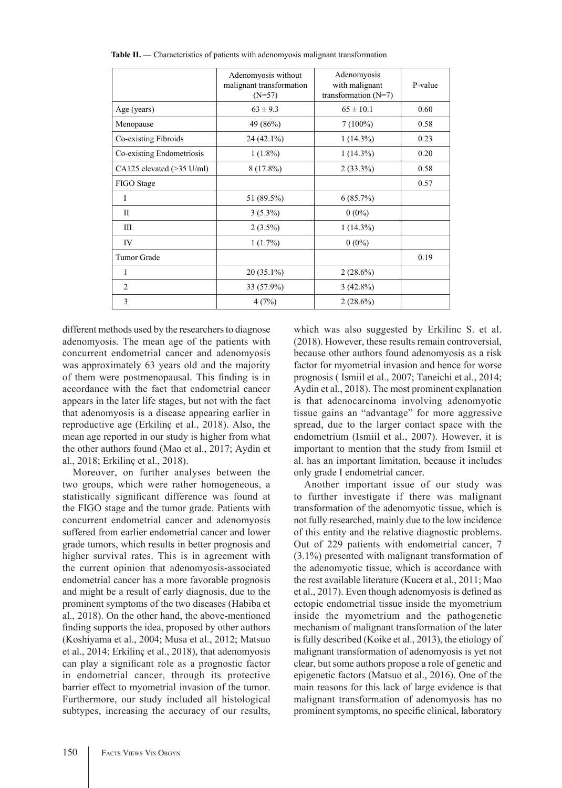|                                     | Adenomyosis without<br>malignant transformation<br>$(N=57)$ | Adenomyosis<br>with malignant<br>transformation $(N=7)$ | P-value |
|-------------------------------------|-------------------------------------------------------------|---------------------------------------------------------|---------|
| Age (years)                         | $63 \pm 9.3$                                                | $65 \pm 10.1$                                           | 0.60    |
| Menopause                           | 49 (86%)                                                    | $7(100\%)$                                              | 0.58    |
| Co-existing Fibroids                | $24(42.1\%)$                                                | $1(14.3\%)$                                             | 0.23    |
| Co-existing Endometriosis           | $1(1.8\%)$                                                  | $1(14.3\%)$                                             | 0.20    |
| CA125 elevated $(>35 \text{ U/ml})$ | $8(17.8\%)$                                                 | $2(33.3\%)$                                             | 0.58    |
| FIGO Stage                          |                                                             |                                                         | 0.57    |
| I                                   | 51 (89.5%)                                                  | 6(85.7%)                                                |         |
| $\mathbf{I}$                        | $3(5.3\%)$                                                  | $0(0\%)$                                                |         |
| Ш                                   | $2(3.5\%)$                                                  | $1(14.3\%)$                                             |         |
| IV                                  | $1(1.7\%)$                                                  | $0(0\%)$                                                |         |
| <b>Tumor Grade</b>                  |                                                             |                                                         | 0.19    |
| 1                                   | $20(35.1\%)$                                                | $2(28.6\%)$                                             |         |
| $\overline{c}$                      | 33 (57.9%)                                                  | $3(42.8\%)$                                             |         |
| 3                                   | 4(7%)                                                       | $2(28.6\%)$                                             |         |

**Table II.** — Characteristics of patients with adenomyosis malignant transformation

different methods used by the researchers to diagnose adenomyosis. The mean age of the patients with concurrent endometrial cancer and adenomyosis was approximately 63 years old and the majority of them were postmenopausal. This finding is in accordance with the fact that endometrial cancer appears in the later life stages, but not with the fact that adenomyosis is a disease appearing earlier in reproductive age (Erkilinç et al., 2018). Also, the mean age reported in our study is higher from what the other authors found (Mao et al., 2017; Aydin et al., 2018; Erkilinç et al., 2018).

Moreover, on further analyses between the two groups, which were rather homogeneous, a statistically significant difference was found at the FIGO stage and the tumor grade. Patients with concurrent endometrial cancer and adenomyosis suffered from earlier endometrial cancer and lower grade tumors, which results in better prognosis and higher survival rates. This is in agreement with the current opinion that adenomyosis-associated endometrial cancer has a more favorable prognosis and might be a result of early diagnosis, due to the prominent symptoms of the two diseases (Habiba et al., 2018). On the other hand, the above-mentioned finding supports the idea, proposed by other authors (Koshiyama et al., 2004; Musa et al., 2012; Matsuo et al., 2014; Erkilinç et al., 2018), that adenomyosis can play a significant role as a prognostic factor in endometrial cancer, through its protective barrier effect to myometrial invasion of the tumor. Furthermore, our study included all histological subtypes, increasing the accuracy of our results,

which was also suggested by Erkilinc S. et al. (2018). However, these results remain controversial, because other authors found adenomyosis as a risk factor for myometrial invasion and hence for worse prognosis ( Ismiil et al., 2007; Taneichi et al., 2014; Aydin et al., 2018). The most prominent explanation is that adenocarcinoma involving adenomyotic tissue gains an "advantage" for more aggressive spread, due to the larger contact space with the endometrium (Ismiil et al., 2007). However, it is important to mention that the study from Ismiil et al. has an important limitation, because it includes only grade I endometrial cancer.

Another important issue of our study was to further investigate if there was malignant transformation of the adenomyotic tissue, which is not fully researched, mainly due to the low incidence of this entity and the relative diagnostic problems. Out of 229 patients with endometrial cancer, 7 (3.1%) presented with malignant transformation of the adenomyotic tissue, which is accordance with the rest available literature (Kucera et al., 2011; Mao et al., 2017). Even though adenomyosis is defined as ectopic endometrial tissue inside the myometrium inside the myometrium and the pathogenetic mechanism of malignant transformation of the later is fully described (Koike et al., 2013), the etiology of malignant transformation of adenomyosis is yet not clear, but some authors propose a role of genetic and epigenetic factors (Matsuo et al., 2016). One of the main reasons for this lack of large evidence is that malignant transformation of adenomyosis has no prominent symptoms, no specific clinical, laboratory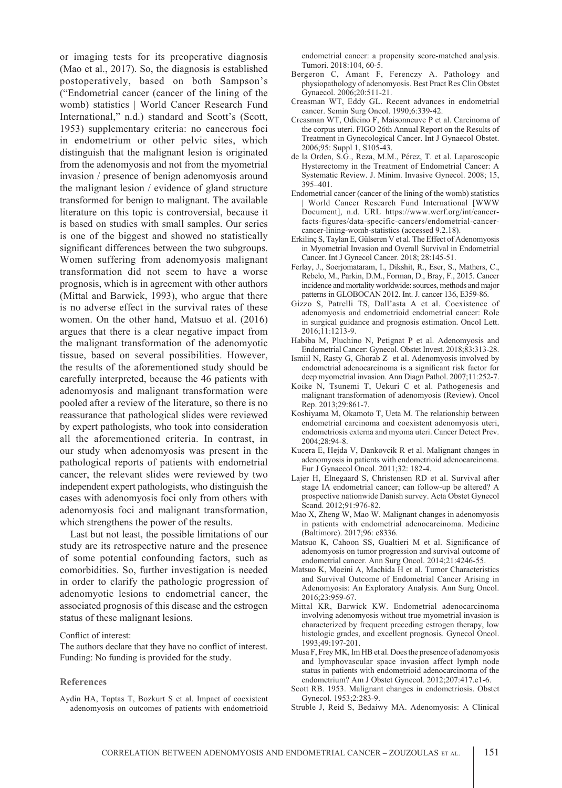or imaging tests for its preoperative diagnosis (Mao et al., 2017). So, the diagnosis is established postoperatively, based on both Sampson's ("Endometrial cancer (cancer of the lining of the womb) statistics | World Cancer Research Fund International," n.d.) standard and Scott's (Scott, 1953) supplementary criteria: no cancerous foci in endometrium or other pelvic sites, which distinguish that the malignant lesion is originated from the adenomyosis and not from the myometrial invasion / presence of benign adenomyosis around the malignant lesion / evidence of gland structure transformed for benign to malignant. The available literature on this topic is controversial, because it is based on studies with small samples. Our series is one of the biggest and showed no statistically significant differences between the two subgroups. Women suffering from adenomyosis malignant transformation did not seem to have a worse prognosis, which is in agreement with other authors (Mittal and Barwick, 1993), who argue that there is no adverse effect in the survival rates of these women. On the other hand, Matsuo et al. (2016) argues that there is a clear negative impact from the malignant transformation of the adenomyotic tissue, based on several possibilities. However, the results of the aforementioned study should be carefully interpreted, because the 46 patients with adenomyosis and malignant transformation were pooled after a review of the literature, so there is no reassurance that pathological slides were reviewed by expert pathologists, who took into consideration all the aforementioned criteria. In contrast, in our study when adenomyosis was present in the pathological reports of patients with endometrial cancer, the relevant slides were reviewed by two independent expert pathologists, who distinguish the cases with adenomyosis foci only from others with adenomyosis foci and malignant transformation, which strengthens the power of the results.

Last but not least, the possible limitations of our study are its retrospective nature and the presence of some potential confounding factors, such as comorbidities. So, further investigation is needed in order to clarify the pathologic progression of adenomyotic lesions to endometrial cancer, the associated prognosis of this disease and the estrogen status of these malignant lesions.

#### Conflict of interest:

The authors declare that they have no conflict of interest. Funding: No funding is provided for the study.

#### **References**

Aydin HA, Toptas T, Bozkurt S et al. Impact of coexistent adenomyosis on outcomes of patients with endometrioid endometrial cancer: a propensity score-matched analysis. Tumori. 2018:104, 60-5.

- Bergeron C, Amant F, Ferenczy A. Pathology and physiopathology of adenomyosis. Best Pract Res Clin Obstet Gynaecol. 2006;20:511-21.
- Creasman WT, Eddy GL. Recent advances in endometrial cancer. Semin Surg Oncol. 1990;6:339-42.
- Creasman WT, Odicino F, Maisonneuve P et al. Carcinoma of the corpus uteri. FIGO 26th Annual Report on the Results of Treatment in Gynecological Cancer. Int J Gynaecol Obstet. 2006;95: Suppl 1, S105-43.
- de la Orden, S.G., Reza, M.M., Pérez, T. et al. Laparoscopic Hysterectomy in the Treatment of Endometrial Cancer: A Systematic Review. J. Minim. Invasive Gynecol. 2008; 15, 395–401.
- Endometrial cancer (cancer of the lining of the womb) statistics | World Cancer Research Fund International [WWW Document], n.d. URL https://www.wcrf.org/int/cancerfacts-figures/data-specific-cancers/endometrial-cancercancer-lining-womb-statistics (accessed 9.2.18).
- Erkilinç S, Taylan E, Gülseren V et al. The Effect of Adenomyosis in Myometrial Invasion and Overall Survival in Endometrial Cancer. Int J Gynecol Cancer. 2018; 28:145-51.
- Ferlay, J., Soerjomataram, I., Dikshit, R., Eser, S., Mathers, C., Rebelo, M., Parkin, D.M., Forman, D., Bray, F., 2015. Cancer incidence and mortality worldwide: sources, methods and major patterns in GLOBOCAN 2012. Int. J. cancer 136, E359-86.
- Gizzo S, Patrelli TS, Dall'asta A et al. Coexistence of adenomyosis and endometrioid endometrial cancer: Role in surgical guidance and prognosis estimation. Oncol Lett. 2016;11:1213-9.
- Habiba M, Pluchino N, Petignat P et al. Adenomyosis and Endometrial Cancer: Gynecol. Obstet Invest. 2018;83:313-28.
- Ismiil N, Rasty G, Ghorab Z et al. Adenomyosis involved by endometrial adenocarcinoma is a significant risk factor for deep myometrial invasion. Ann Diagn Pathol. 2007;11:252-7.
- Koike N, Tsunemi T, Uekuri C et al. Pathogenesis and malignant transformation of adenomyosis (Review). Oncol Rep. 2013;29:861-7.
- Koshiyama M, Okamoto T, Ueta M. The relationship between endometrial carcinoma and coexistent adenomyosis uteri, endometriosis externa and myoma uteri. Cancer Detect Prev. 2004;28:94-8.
- Kucera E, Hejda V, Dankovcik R et al. Malignant changes in adenomyosis in patients with endometrioid adenocarcinoma. Eur J Gynaecol Oncol. 2011;32: 182-4.
- Lajer H, Elnegaard S, Christensen RD et al. Survival after stage IA endometrial cancer; can follow-up be altered? A prospective nationwide Danish survey. Acta Obstet Gynecol Scand. 2012;91:976-82.
- Mao X, Zheng W, Mao W. Malignant changes in adenomyosis in patients with endometrial adenocarcinoma. Medicine (Baltimore). 2017;96: e8336.
- Matsuo K, Cahoon SS, Gualtieri M et al. Significance of adenomyosis on tumor progression and survival outcome of endometrial cancer. Ann Surg Oncol. 2014;21:4246-55.
- Matsuo K, Moeini A, Machida H et al. Tumor Characteristics and Survival Outcome of Endometrial Cancer Arising in Adenomyosis: An Exploratory Analysis. Ann Surg Oncol. 2016;23:959-67.
- Mittal KR, Barwick KW. Endometrial adenocarcinoma involving adenomyosis without true myometrial invasion is characterized by frequent preceding estrogen therapy, low histologic grades, and excellent prognosis. Gynecol Oncol. 1993;49:197-201.
- Musa F, Frey MK, Im HB et al. Does the presence of adenomyosis and lymphovascular space invasion affect lymph node status in patients with endometrioid adenocarcinoma of the endometrium? Am J Obstet Gynecol. 2012;207:417.e1-6.
- Scott RB. 1953. Malignant changes in endometriosis. Obstet Gynecol. 1953;2:283-9.
- Struble J, Reid S, Bedaiwy MA. Adenomyosis: A Clinical